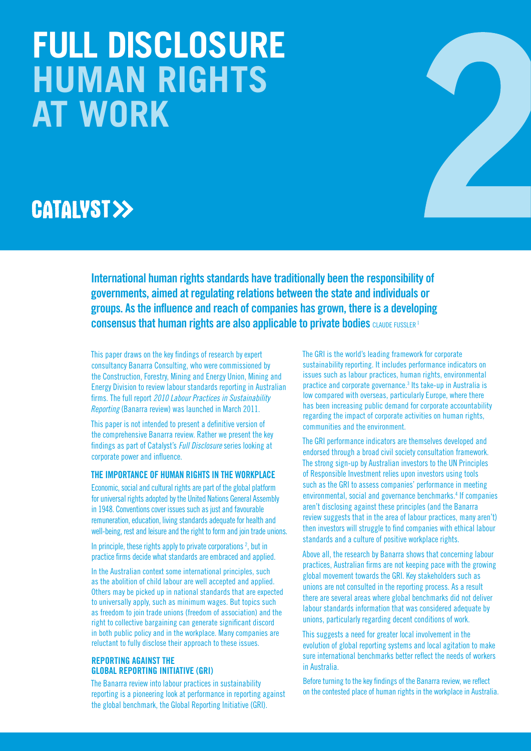# **FULL DISCLOSURE HUMAN RIGHTS AT WORK**

# **CATALYST>>**

**International human rights standards have traditionally been the responsibility of governments, aimed at regulating relations between the state and individuals or groups. As the influence and reach of companies has grown, there is a developing consensus that human rights are also applicable to private bodies CLAUDE FUSSLER 1** 

This paper draws on the key findings of research by expert consultancy Banarra Consulting, who were commissioned by the Construction, Forestry, Mining and Energy Union, Mining and Energy Division to review labour standards reporting in Australian firms. The full report *2010 Labour Practices in Sustainability Reporting* (Banarra review) was launched in March 2011.

This paper is not intended to present a definitive version of the comprehensive Banarra review. Rather we present the key findings as part of Catalyst's *Full Disclosure* series looking at corporate power and influence.

#### **The importance of human rights in the workplace**

Economic, social and cultural rights are part of the global platform for universal rights adopted by the United Nations General Assembly in 1948. Conventions cover issues such as just and favourable remuneration, education, living standards adequate for health and well-being, rest and leisure and the right to form and join trade unions.

In principle, these rights apply to private corporations  $2$ , but in practice firms decide what standards are embraced and applied.

In the Australian context some international principles, such as the abolition of child labour are well accepted and applied. Others may be picked up in national standards that are expected to universally apply, such as minimum wages. But topics such as freedom to join trade unions (freedom of association) and the right to collective bargaining can generate significant discord in both public policy and in the workplace. Many companies are reluctant to fully disclose their approach to these issues.

#### **Reporting against the Global Reporting Initiative (GRI)**

The Banarra review into labour practices in sustainability reporting is a pioneering look at performance in reporting against the global benchmark, the Global Reporting Initiative (GRI).

The GRI is the world's leading framework for corporate sustainability reporting. It includes performance indicators on issues such as labour practices, human rights, environmental practice and corporate governance.<sup>3</sup> Its take-up in Australia is low compared with overseas, particularly Europe, where there has been increasing public demand for corporate accountability regarding the impact of corporate activities on human rights, communities and the environment.

The GRI performance indicators are themselves developed and endorsed through a broad civil society consultation framework. The strong sign-up by Australian investors to the UN Principles of Responsible Investment relies upon investors using tools such as the GRI to assess companies' performance in meeting environmental, social and governance benchmarks.<sup>4</sup> If companies aren't disclosing against these principles (and the Banarra review suggests that in the area of labour practices, many aren't) then investors will struggle to find companies with ethical labour standards and a culture of positive workplace rights.

Above all, the research by Banarra shows that concerning labour practices, Australian firms are not keeping pace with the growing global movement towards the GRI. Key stakeholders such as unions are not consulted in the reporting process. As a result there are several areas where global benchmarks did not deliver labour standards information that was considered adequate by unions, particularly regarding decent conditions of work.

This suggests a need for greater local involvement in the evolution of global reporting systems and local agitation to make sure international benchmarks better reflect the needs of workers in Australia.

Before turning to the key findings of the Banarra review, we reflect on the contested place of human rights in the workplace in Australia.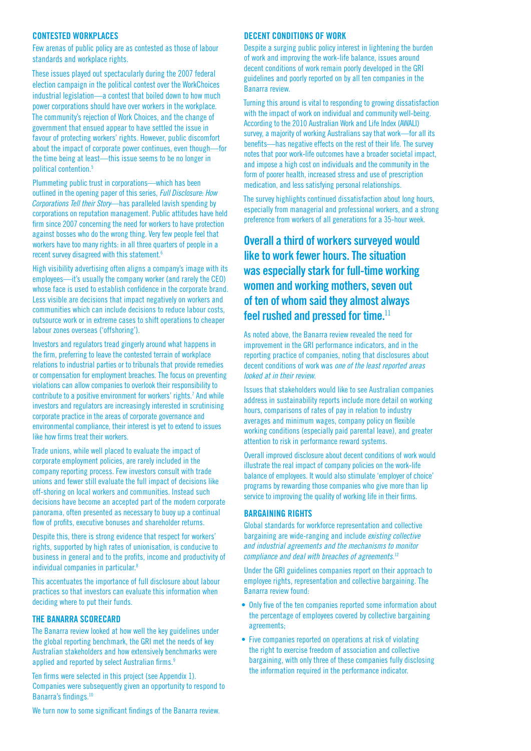#### **Contested workplaces**

Few arenas of public policy are as contested as those of labour standards and workplace rights.

These issues played out spectacularly during the 2007 federal election campaign in the political contest over the WorkChoices industrial legislation—a contest that boiled down to how much power corporations should have over workers in the workplace. The community's rejection of Work Choices, and the change of government that ensued appear to have settled the issue in favour of protecting workers' rights. However, public discomfort about the impact of corporate power continues, even though—for the time being at least—this issue seems to be no longer in political contention.5

Plummeting public trust in corporations—which has been outlined in the opening paper of this series, *Full Disclosure: How Corporations Tell their Story*—has paralleled lavish spending by corporations on reputation management. Public attitudes have held firm since 2007 concerning the need for workers to have protection against bosses who do the wrong thing. Very few people feel that workers have too many rights: in all three quarters of people in a recent survey disagreed with this statement.6

High visibility advertising often aligns a company's image with its employees—it's usually the company worker (and rarely the CEO) whose face is used to establish confidence in the corporate brand. Less visible are decisions that impact negatively on workers and communities which can include decisions to reduce labour costs, outsource work or in extreme cases to shift operations to cheaper labour zones overseas ('offshoring').

Investors and regulators tread gingerly around what happens in the firm, preferring to leave the contested terrain of workplace relations to industrial parties or to tribunals that provide remedies or compensation for employment breaches. The focus on preventing violations can allow companies to overlook their responsibility to contribute to a positive environment for workers' rights.<sup>7</sup> And while investors and regulators are increasingly interested in scrutinising corporate practice in the areas of corporate governance and environmental compliance, their interest is yet to extend to issues like how firms treat their workers.

Trade unions, while well placed to evaluate the impact of corporate employment policies, are rarely included in the company reporting process. Few investors consult with trade unions and fewer still evaluate the full impact of decisions like off-shoring on local workers and communities. Instead such decisions have become an accepted part of the modern corporate panorama, often presented as necessary to buoy up a continual flow of profits, executive bonuses and shareholder returns.

Despite this, there is strong evidence that respect for workers' rights, supported by high rates of unionisation, is conducive to business in general and to the profits, income and productivity of individual companies in particular.<sup>8</sup>

This accentuates the importance of full disclosure about labour practices so that investors can evaluate this information when deciding where to put their funds.

#### **The Banarra Scorecard**

The Banarra review looked at how well the key guidelines under the global reporting benchmark, the GRI met the needs of key Australian stakeholders and how extensively benchmarks were applied and reported by select Australian firms.<sup>9</sup>

Ten firms were selected in this project (see Appendix 1). Companies were subsequently given an opportunity to respond to Banarra's findings.10

#### **Decent conditions of work**

Despite a surging public policy interest in lightening the burden of work and improving the work-life balance, issues around decent conditions of work remain poorly developed in the GRI guidelines and poorly reported on by all ten companies in the Banarra review.

Turning this around is vital to responding to growing dissatisfaction with the impact of work on individual and community well-being. According to the 2010 Australian Work and Life Index (AWALI) survey, a majority of working Australians say that work—for all its benefits—has negative effects on the rest of their life. The survey notes that poor work-life outcomes have a broader societal impact, and impose a high cost on individuals and the community in the form of poorer health, increased stress and use of prescription medication, and less satisfying personal relationships.

The survey highlights continued dissatisfaction about long hours, especially from managerial and professional workers, and a strong preference from workers of all generations for a 35-hour week.

## **Overall a third of workers surveyed would like to work fewer hours. The situation was especially stark for full-time working women and working mothers, seven out of ten of whom said they almost always feel rushed and pressed for time.**<sup>11</sup>

As noted above, the Banarra review revealed the need for improvement in the GRI performance indicators, and in the reporting practice of companies, noting that disclosures about decent conditions of work was *one of the least reported areas looked at in their review*.

Issues that stakeholders would like to see Australian companies address in sustainability reports include more detail on working hours, comparisons of rates of pay in relation to industry averages and minimum wages, company policy on flexible working conditions (especially paid parental leave), and greater attention to risk in performance reward systems.

Overall improved disclosure about decent conditions of work would illustrate the real impact of company policies on the work-life balance of employees. It would also stimulate 'employer of choice' programs by rewarding those companies who give more than lip service to improving the quality of working life in their firms.

#### **Bargaining rights**

Global standards for workforce representation and collective bargaining are wide-ranging and include *existing collective and industrial agreements and the mechanisms to monitor compliance and deal with breaches of agreements*. 12

Under the GRI guidelines companies report on their approach to employee rights, representation and collective bargaining. The Banarra review found:

- Only five of the ten companies reported some information about the percentage of employees covered by collective bargaining agreements;
- Five companies reported on operations at risk of violating the right to exercise freedom of association and collective bargaining, with only three of these companies fully disclosing the information required in the performance indicator.

We turn now to some significant findings of the Banarra review.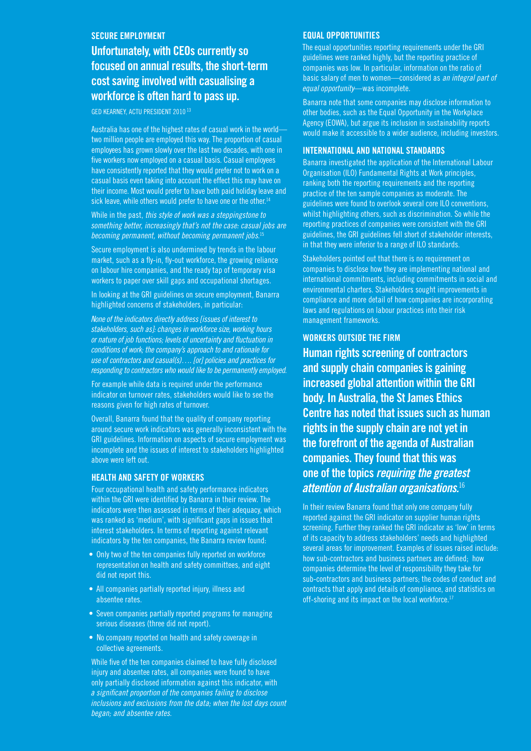#### **Secure employment**

**Unfortunately, with CEOs currently so focused on annual results, the short-term cost saving involved with casualising a workforce is often hard to pass up.**

Ged Kearney, ACTU President 2010 13

Australia has one of the highest rates of casual work in the world two million people are employed this way. The proportion of casual employees has grown slowly over the last two decades, with one in five workers now employed on a casual basis. Casual employees have consistently reported that they would prefer not to work on a casual basis even taking into account the effect this may have on their income. Most would prefer to have both paid holiday leave and sick leave, while others would prefer to have one or the other.<sup>14</sup>

While in the past, *this style of work was a steppingstone to something better, increasingly that's not the case: casual jobs are becoming permanent, without becoming permanent jobs*. 15

Secure employment is also undermined by trends in the labour market, such as a fly-in, fly-out workforce, the growing reliance on labour hire companies, and the ready tap of temporary visa workers to paper over skill gaps and occupational shortages.

In looking at the GRI guidelines on secure employment, Banarra highlighted concerns of stakeholders, in particular:

*None of the indicators directly address [issues of interest to stakeholders, such as]: changes in workforce size, working hours or nature of job functions; levels of uncertainty and fluctuation in conditions of work; the company's approach to and rationale for use of contractors and casual(s)…. [or] policies and practices for responding to contractors who would like to be permanently employed*.

For example while data is required under the performance indicator on turnover rates, stakeholders would like to see the reasons given for high rates of turnover.

Overall, Banarra found that the quality of company reporting around secure work indicators was generally inconsistent with the GRI guidelines. Information on aspects of secure employment was incomplete and the issues of interest to stakeholders highlighted above were left out.

#### **Health and safety of workers**

Four occupational health and safety performance indicators within the GRI were identified by Banarra in their review. The indicators were then assessed in terms of their adequacy, which was ranked as 'medium', with significant gaps in issues that interest stakeholders. In terms of reporting against relevant indicators by the ten companies, the Banarra review found:

- Only two of the ten companies fully reported on workforce representation on health and safety committees, and eight did not report this.
- All companies partially reported injury, illness and absentee rates.
- Seven companies partially reported programs for managing serious diseases (three did not report).
- No company reported on health and safety coverage in collective agreements.

While five of the ten companies claimed to have fully disclosed injury and absentee rates, all companies were found to have only partially disclosed information against this indicator, with *a significant proportion of the companies failing to disclose inclusions and exclusions from the data; when the lost days count began; and absentee rates*.

#### **Equal Opportunities**

The equal opportunities reporting requirements under the GRI guidelines were ranked highly, but the reporting practice of companies was low. In particular, information on the ratio of basic salary of men to women—considered as *an integral part of equal opportunity*—was incomplete.

Banarra note that some companies may disclose information to other bodies, such as the Equal Opportunity in the Workplace Agency (EOWA), but argue its inclusion in sustainability reports would make it accessible to a wider audience, including investors.

#### **International and national standards**

Banarra investigated the application of the International Labour Organisation (ILO) Fundamental Rights at Work principles, ranking both the reporting requirements and the reporting practice of the ten sample companies as moderate. The guidelines were found to overlook several core ILO conventions, whilst highlighting others, such as discrimination. So while the reporting practices of companies were consistent with the GRI guidelines, the GRI guidelines fell short of stakeholder interests, in that they were inferior to a range of ILO standards.

Stakeholders pointed out that there is no requirement on companies to disclose how they are implementing national and international commitments, including commitments in social and environmental charters. Stakeholders sought improvements in compliance and more detail of how companies are incorporating laws and regulations on labour practices into their risk management frameworks.

#### **Workers outside the firm**

**Human rights screening of contractors and supply chain companies is gaining increased global attention within the GRI body. In Australia, the St James Ethics Centre has noted that issues such as human rights in the supply chain are not yet in the forefront of the agenda of Australian companies. They found that this was one of the topics** *requiring the greatest attention of Australian organisations.*<sup>16</sup>

In their review Banarra found that only one company fully reported against the GRI indicator on supplier human rights screening. Further they ranked the GRI indicator as 'low' in terms of its capacity to address stakeholders' needs and highlighted several areas for improvement. Examples of issues raised include: how sub-contractors and business partners are defined; how companies determine the level of responsibility they take for sub-contractors and business partners; the codes of conduct and contracts that apply and details of compliance, and statistics on off-shoring and its impact on the local workforce.<sup>17</sup>